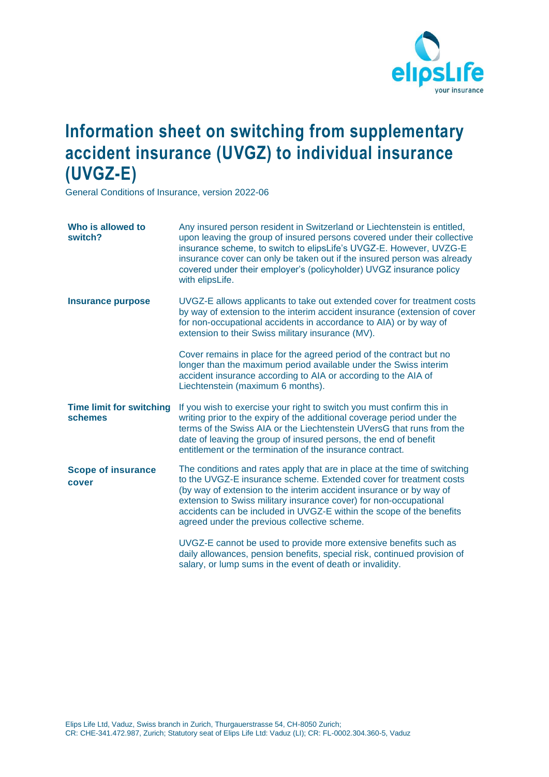

## **Information sheet on switching from supplementary accident insurance (UVGZ) to individual insurance (UVGZ-E)**

General Conditions of Insurance, version 2022-06

| Who is allowed to<br>switch?               | Any insured person resident in Switzerland or Liechtenstein is entitled,<br>upon leaving the group of insured persons covered under their collective<br>insurance scheme, to switch to elipsLife's UVGZ-E. However, UVZG-E<br>insurance cover can only be taken out if the insured person was already<br>covered under their employer's (policyholder) UVGZ insurance policy<br>with elipsLife.                     |
|--------------------------------------------|---------------------------------------------------------------------------------------------------------------------------------------------------------------------------------------------------------------------------------------------------------------------------------------------------------------------------------------------------------------------------------------------------------------------|
| Insurance purpose                          | UVGZ-E allows applicants to take out extended cover for treatment costs<br>by way of extension to the interim accident insurance (extension of cover<br>for non-occupational accidents in accordance to AIA) or by way of<br>extension to their Swiss military insurance (MV).                                                                                                                                      |
|                                            | Cover remains in place for the agreed period of the contract but no<br>longer than the maximum period available under the Swiss interim<br>accident insurance according to AIA or according to the AIA of<br>Liechtenstein (maximum 6 months).                                                                                                                                                                      |
| <b>Time limit for switching</b><br>schemes | If you wish to exercise your right to switch you must confirm this in<br>writing prior to the expiry of the additional coverage period under the<br>terms of the Swiss AIA or the Liechtenstein UVersG that runs from the<br>date of leaving the group of insured persons, the end of benefit<br>entitlement or the termination of the insurance contract.                                                          |
| <b>Scope of insurance</b><br>cover         | The conditions and rates apply that are in place at the time of switching<br>to the UVGZ-E insurance scheme. Extended cover for treatment costs<br>(by way of extension to the interim accident insurance or by way of<br>extension to Swiss military insurance cover) for non-occupational<br>accidents can be included in UVGZ-E within the scope of the benefits<br>agreed under the previous collective scheme. |
|                                            | UVGZ-E cannot be used to provide more extensive benefits such as<br>daily allowances, pension benefits, special risk, continued provision of<br>salary, or lump sums in the event of death or invalidity.                                                                                                                                                                                                           |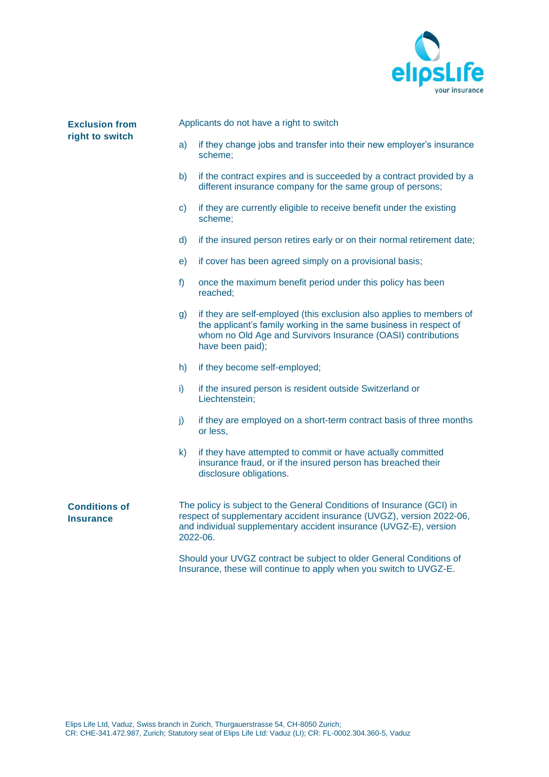

## **Exclusion from right to switch**

Applicants do not have a right to switch

- a) if they change jobs and transfer into their new employer's insurance scheme;
- b) if the contract expires and is succeeded by a contract provided by a different insurance company for the same group of persons;
- c) if they are currently eligible to receive benefit under the existing scheme;
- d) if the insured person retires early or on their normal retirement date;
- e) if cover has been agreed simply on a provisional basis;
- f) once the maximum benefit period under this policy has been reached;
- g) if they are self-employed (this exclusion also applies to members of the applicant's family working in the same business in respect of whom no Old Age and Survivors Insurance (OASI) contributions have been paid);
- h) if they become self-employed;
- i) if the insured person is resident outside Switzerland or Liechtenstein;
- j) if they are employed on a short-term contract basis of three months or less,
- k) if they have attempted to commit or have actually committed insurance fraud, or if the insured person has breached their disclosure obligations.

**Conditions of Insurance**

The policy is subject to the General Conditions of Insurance (GCI) in respect of supplementary accident insurance (UVGZ), version 2022-06, and individual supplementary accident insurance (UVGZ-E), version 2022-06.

Should your UVGZ contract be subject to older General Conditions of Insurance, these will continue to apply when you switch to UVGZ-E.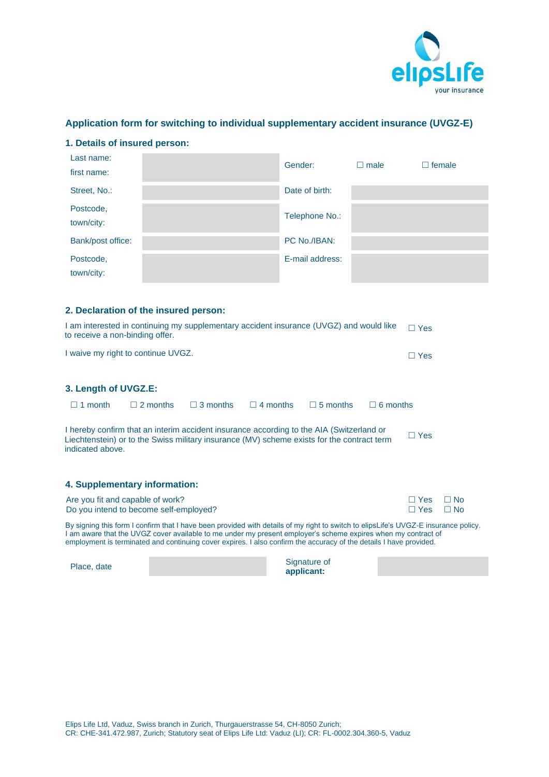

## **Application form for switching to individual supplementary accident insurance (UVGZ-E)**

| Last name:<br>first name: |                                       | Gender:         | $\Box$ male | $\Box$ female |
|---------------------------|---------------------------------------|-----------------|-------------|---------------|
| Street, No.:              |                                       | Date of birth:  |             |               |
| Postcode,<br>town/city:   |                                       | Telephone No.:  |             |               |
| Bank/post office:         |                                       | PC No./IBAN:    |             |               |
| Postcode,<br>town/city:   |                                       | E-mail address: |             |               |
|                           | 2. Declaration of the insured person: |                 |             |               |

| I am interested in continuing my supplementary accident insurance (UVGZ) and would like<br>to receive a non-binding offer. | $\Box$ Yes |
|----------------------------------------------------------------------------------------------------------------------------|------------|
| I waive my right to continue UVGZ.                                                                                         | $\Box$ Yes |

|  | 3. Length of UVGZ.E: |  |  |  |
|--|----------------------|--|--|--|
|--|----------------------|--|--|--|

| $\Box$ 1 month   | $\Box$ 2 months | $\Box$ 3 months | $\Box$ 4 months | $\Box$ 5 months                                                                                                                                                                        | $\Box$ 6 months |            |
|------------------|-----------------|-----------------|-----------------|----------------------------------------------------------------------------------------------------------------------------------------------------------------------------------------|-----------------|------------|
| indicated above. |                 |                 |                 | I hereby confirm that an interim accident insurance according to the AIA (Switzerland or<br>Liechtenstein) or to the Swiss military insurance (MV) scheme exists for the contract term |                 | $\Box$ Yes |

| 4. Supplementary information:          |            |  |
|----------------------------------------|------------|--|
| Are you fit and capable of work?       | □ Yes □ No |  |
| Do you intend to become self-employed? | □ Yes □ No |  |

By signing this form I confirm that I have been provided with details of my right to switch to elipsLife's UVGZ-E insurance policy. I am aware that the UVGZ cover available to me under my present employer's scheme expires when my contract of employment is terminated and continuing cover expires. I also confirm the accuracy of the details I have provided.

| Place, date | Signature of<br>applicant: |  |
|-------------|----------------------------|--|
|             |                            |  |

**1. Details of insured person:**